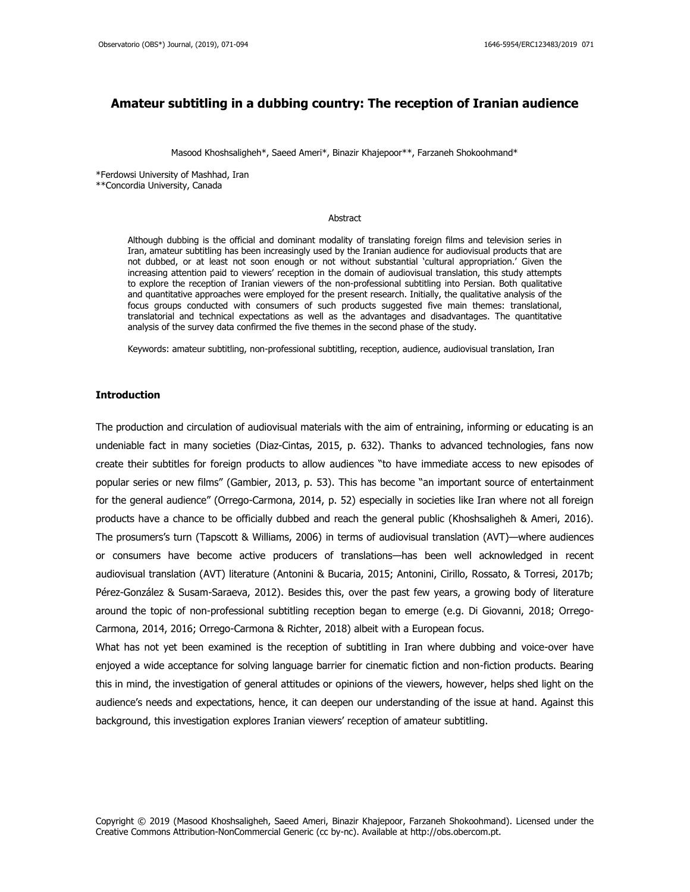# **Amateur subtitling in a dubbing country: The reception of Iranian audience**

Masood Khoshsaligheh\*, Saeed Ameri\*, Binazir Khajepoor\*\*, Farzaneh Shokoohmand\*

\*Ferdowsi University of Mashhad, Iran \*\*Concordia University, Canada

### Abstract

Although dubbing is the official and dominant modality of translating foreign films and television series in Iran, amateur subtitling has been increasingly used by the Iranian audience for audiovisual products that are not dubbed, or at least not soon enough or not without substantial 'cultural appropriation.' Given the increasing attention paid to viewers' reception in the domain of audiovisual translation, this study attempts to explore the reception of Iranian viewers of the non-professional subtitling into Persian. Both qualitative and quantitative approaches were employed for the present research. Initially, the qualitative analysis of the focus groups conducted with consumers of such products suggested five main themes: translational, translatorial and technical expectations as well as the advantages and disadvantages. The quantitative analysis of the survey data confirmed the five themes in the second phase of the study.

Keywords: amateur subtitling, non-professional subtitling, reception, audience, audiovisual translation, Iran

### **Introduction**

The production and circulation of audiovisual materials with the aim of entraining, informing or educating is an undeniable fact in many societies (Diaz-Cintas, 2015, p. 632). Thanks to advanced technologies, fans now create their subtitles for foreign products to allow audiences "to have immediate access to new episodes of popular series or new films" (Gambier, 2013, p. 53). This has become "an important source of entertainment for the general audience" (Orrego-Carmona, 2014, p. 52) especially in societies like Iran where not all foreign products have a chance to be officially dubbed and reach the general public (Khoshsaligheh & Ameri, 2016). The prosumers's turn (Tapscott & Williams, 2006) in terms of audiovisual translation (AVT)—where audiences or consumers have become active producers of translations—has been well acknowledged in recent audiovisual translation (AVT) literature (Antonini & Bucaria, 2015; Antonini, Cirillo, Rossato, & Torresi, 2017b; Pérez-González & Susam-Saraeva, 2012). Besides this, over the past few years, a growing body of literature around the topic of non-professional subtitling reception began to emerge (e.g. Di Giovanni, 2018; Orrego-Carmona, 2014, 2016; Orrego-Carmona & Richter, 2018) albeit with a European focus.

What has not yet been examined is the reception of subtitling in Iran where dubbing and voice-over have enjoyed a wide acceptance for solving language barrier for cinematic fiction and non-fiction products. Bearing this in mind, the investigation of general attitudes or opinions of the viewers, however, helps shed light on the audience's needs and expectations, hence, it can deepen our understanding of the issue at hand. Against this background, this investigation explores Iranian viewers' reception of amateur subtitling.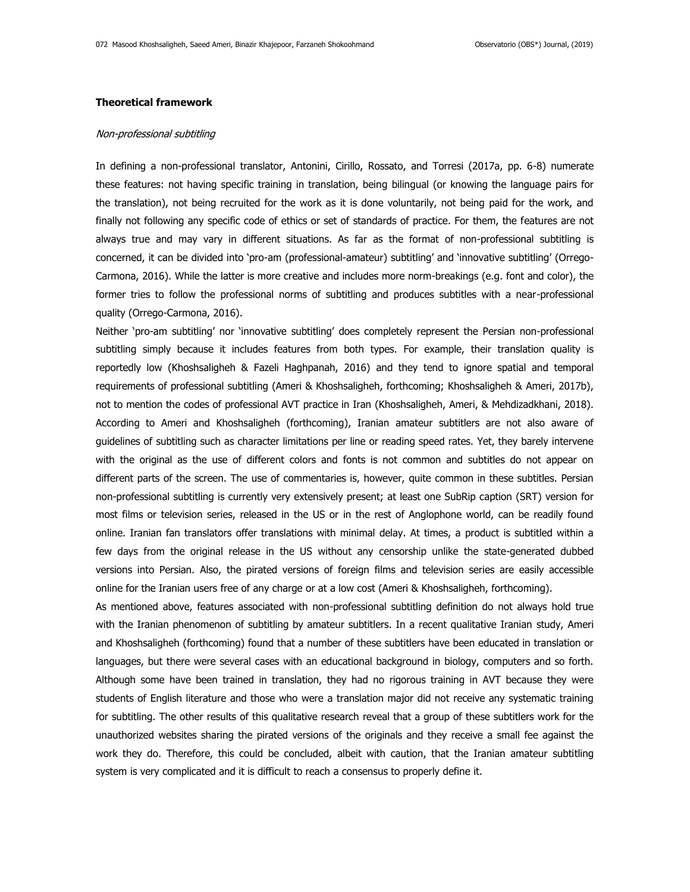# **Theoretical framework**

### Non-professional subtitling

In defining a non-professional translator, Antonini, Cirillo, Rossato, and Torresi (2017a, pp. 6-8) numerate these features: not having specific training in translation, being bilingual (or knowing the language pairs for the translation), not being recruited for the work as it is done voluntarily, not being paid for the work, and finally not following any specific code of ethics or set of standards of practice. For them, the features are not always true and may vary in different situations. As far as the format of non-professional subtitling is concerned, it can be divided into 'pro-am (professional-amateur) subtitling' and 'innovative subtitling' (Orrego-Carmona, 2016). While the latter is more creative and includes more norm-breakings (e.g. font and color), the former tries to follow the professional norms of subtitling and produces subtitles with a near-professional quality (Orrego-Carmona, 2016).

Neither 'pro-am subtitling' nor 'innovative subtitling' does completely represent the Persian non-professional subtitling simply because it includes features from both types. For example, their translation quality is reportedly low (Khoshsaligheh & Fazeli Haghpanah, 2016) and they tend to ignore spatial and temporal requirements of professional subtitling (Ameri & Khoshsaligheh, forthcoming; Khoshsaligheh & Ameri, 2017b), not to mention the codes of professional AVT practice in Iran (Khoshsaligheh, Ameri, & Mehdizadkhani, 2018). According to Ameri and Khoshsaligheh (forthcoming), Iranian amateur subtitlers are not also aware of guidelines of subtitling such as character limitations per line or reading speed rates. Yet, they barely intervene with the original as the use of different colors and fonts is not common and subtitles do not appear on different parts of the screen. The use of commentaries is, however, quite common in these subtitles. Persian non-professional subtitling is currently very extensively present; at least one SubRip caption (SRT) version for most films or television series, released in the US or in the rest of Anglophone world, can be readily found online. Iranian fan translators offer translations with minimal delay. At times, a product is subtitled within a few days from the original release in the US without any censorship unlike the state-generated dubbed versions into Persian. Also, the pirated versions of foreign films and television series are easily accessible online for the Iranian users free of any charge or at a low cost (Ameri & Khoshsaligheh, forthcoming).

As mentioned above, features associated with non-professional subtitling definition do not always hold true with the Iranian phenomenon of subtitling by amateur subtitlers. In a recent qualitative Iranian study, Ameri and Khoshsaligheh (forthcoming) found that a number of these subtitlers have been educated in translation or languages, but there were several cases with an educational background in biology, computers and so forth. Although some have been trained in translation, they had no rigorous training in AVT because they were students of English literature and those who were a translation major did not receive any systematic training for subtitling. The other results of this qualitative research reveal that a group of these subtitlers work for the unauthorized websites sharing the pirated versions of the originals and they receive a small fee against the work they do. Therefore, this could be concluded, albeit with caution, that the Iranian amateur subtitling system is very complicated and it is difficult to reach a consensus to properly define it.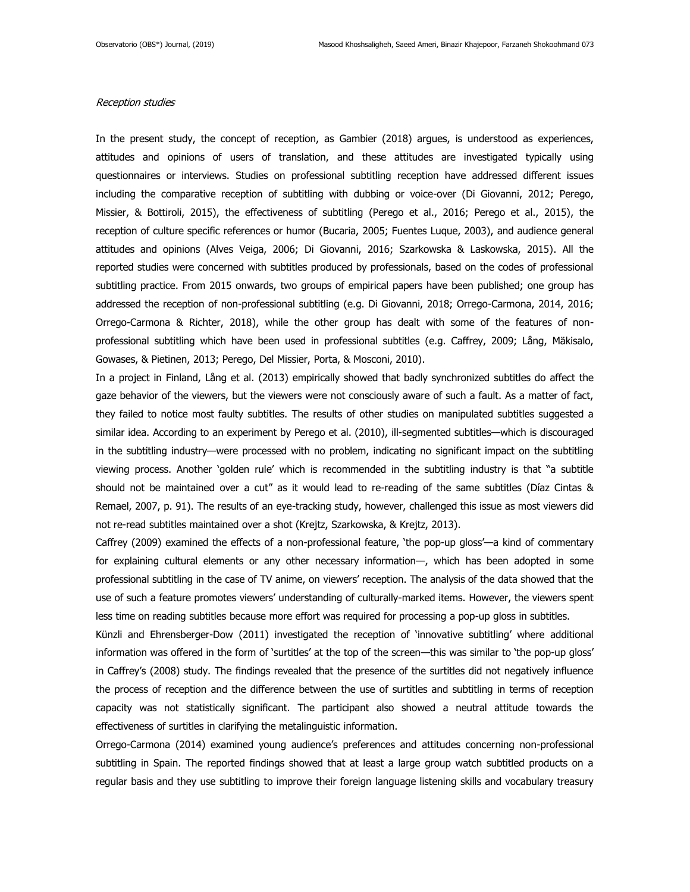### Reception studies

In the present study, the concept of reception, as Gambier (2018) argues, is understood as experiences, attitudes and opinions of users of translation, and these attitudes are investigated typically using questionnaires or interviews. Studies on professional subtitling reception have addressed different issues including the comparative reception of subtitling with dubbing or voice-over (Di Giovanni, 2012; Perego, Missier, & Bottiroli, 2015), the effectiveness of subtitling (Perego et al., 2016; Perego et al., 2015), the reception of culture specific references or humor (Bucaria, 2005; Fuentes Luque, 2003), and audience general attitudes and opinions (Alves Veiga, 2006; Di Giovanni, 2016; Szarkowska & Laskowska, 2015). All the reported studies were concerned with subtitles produced by professionals, based on the codes of professional subtitling practice. From 2015 onwards, two groups of empirical papers have been published; one group has addressed the reception of non-professional subtitling (e.g. Di Giovanni, 2018; Orrego-Carmona, 2014, 2016; Orrego-Carmona & Richter, 2018), while the other group has dealt with some of the features of nonprofessional subtitling which have been used in professional subtitles (e.g. Caffrey, 2009; Lång, Mäkisalo, Gowases, & Pietinen, 2013; Perego, Del Missier, Porta, & Mosconi, 2010).

In a project in Finland, Lång et al. (2013) empirically showed that badly synchronized subtitles do affect the gaze behavior of the viewers, but the viewers were not consciously aware of such a fault. As a matter of fact, they failed to notice most faulty subtitles. The results of other studies on manipulated subtitles suggested a similar idea. According to an experiment by Perego et al. (2010), ill-segmented subtitles—which is discouraged in the subtitling industry—were processed with no problem, indicating no significant impact on the subtitling viewing process. Another 'golden rule' which is recommended in the subtitling industry is that "a subtitle should not be maintained over a cut" as it would lead to re-reading of the same subtitles (Díaz Cintas & Remael, 2007, p. 91). The results of an eye-tracking study, however, challenged this issue as most viewers did not re-read subtitles maintained over a shot (Krejtz, Szarkowska, & Krejtz, 2013).

Caffrey (2009) examined the effects of a non-professional feature, 'the pop-up gloss'—a kind of commentary for explaining cultural elements or any other necessary information—, which has been adopted in some professional subtitling in the case of TV anime, on viewers' reception. The analysis of the data showed that the use of such a feature promotes viewers' understanding of culturally-marked items. However, the viewers spent less time on reading subtitles because more effort was required for processing a pop-up gloss in subtitles.

Künzli and Ehrensberger-Dow (2011) investigated the reception of 'innovative subtitling' where additional information was offered in the form of 'surtitles' at the top of the screen—this was similar to 'the pop-up gloss' in Caffrey's (2008) study. The findings revealed that the presence of the surtitles did not negatively influence the process of reception and the difference between the use of surtitles and subtitling in terms of reception capacity was not statistically significant. The participant also showed a neutral attitude towards the effectiveness of surtitles in clarifying the metalinguistic information.

Orrego-Carmona (2014) examined young audience's preferences and attitudes concerning non-professional subtitling in Spain. The reported findings showed that at least a large group watch subtitled products on a regular basis and they use subtitling to improve their foreign language listening skills and vocabulary treasury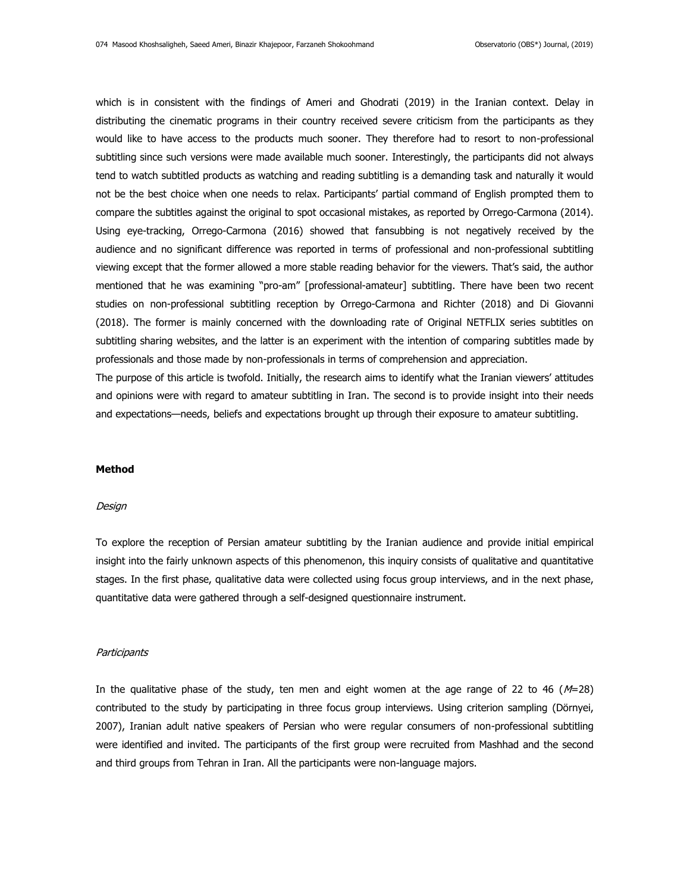which is in consistent with the findings of Ameri and Ghodrati (2019) in the Iranian context. Delay in distributing the cinematic programs in their country received severe criticism from the participants as they would like to have access to the products much sooner. They therefore had to resort to non-professional subtitling since such versions were made available much sooner. Interestingly, the participants did not always tend to watch subtitled products as watching and reading subtitling is a demanding task and naturally it would not be the best choice when one needs to relax. Participants' partial command of English prompted them to compare the subtitles against the original to spot occasional mistakes, as reported by Orrego-Carmona (2014). Using eye-tracking, Orrego-Carmona (2016) showed that fansubbing is not negatively received by the audience and no significant difference was reported in terms of professional and non-professional subtitling viewing except that the former allowed a more stable reading behavior for the viewers. That's said, the author mentioned that he was examining "pro-am" [professional-amateur] subtitling. There have been two recent studies on non-professional subtitling reception by Orrego-Carmona and Richter (2018) and Di Giovanni (2018). The former is mainly concerned with the downloading rate of Original NETFLIX series subtitles on subtitling sharing websites, and the latter is an experiment with the intention of comparing subtitles made by professionals and those made by non-professionals in terms of comprehension and appreciation.

The purpose of this article is twofold. Initially, the research aims to identify what the Iranian viewers' attitudes and opinions were with regard to amateur subtitling in Iran. The second is to provide insight into their needs and expectations—needs, beliefs and expectations brought up through their exposure to amateur subtitling.

### **Method**

### **Design**

To explore the reception of Persian amateur subtitling by the Iranian audience and provide initial empirical insight into the fairly unknown aspects of this phenomenon, this inquiry consists of qualitative and quantitative stages. In the first phase, qualitative data were collected using focus group interviews, and in the next phase, quantitative data were gathered through a self-designed questionnaire instrument.

#### **Participants**

In the qualitative phase of the study, ten men and eight women at the age range of 22 to 46 ( $M=28$ ) contributed to the study by participating in three focus group interviews. Using criterion sampling (Dörnyei, 2007), Iranian adult native speakers of Persian who were regular consumers of non-professional subtitling were identified and invited. The participants of the first group were recruited from Mashhad and the second and third groups from Tehran in Iran. All the participants were non-language majors.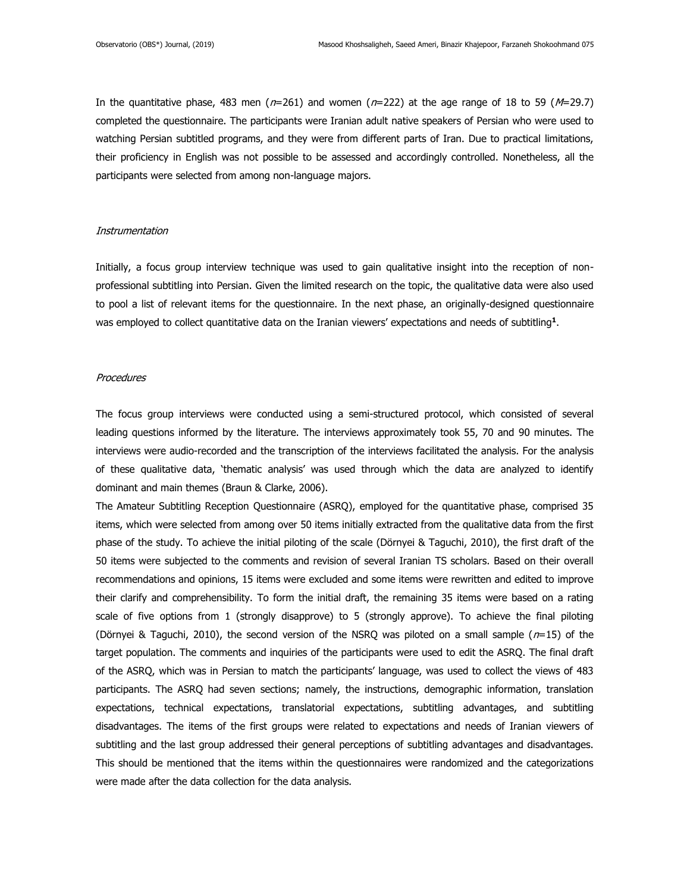In the quantitative phase, 483 men ( $n=261$ ) and women ( $n=222$ ) at the age range of 18 to 59 ( $M=29.7$ ) completed the questionnaire. The participants were Iranian adult native speakers of Persian who were used to watching Persian subtitled programs, and they were from different parts of Iran. Due to practical limitations, their proficiency in English was not possible to be assessed and accordingly controlled. Nonetheless, all the participants were selected from among non-language majors.

#### **Instrumentation**

Initially, a focus group interview technique was used to gain qualitative insight into the reception of nonprofessional subtitling into Persian. Given the limited research on the topic, the qualitative data were also used to pool a list of relevant items for the questionnaire. In the next phase, an originally-designed questionnaire was employed to collect quantitative data on the Iranian viewers' expectations and needs of subtitling**<sup>1</sup>** .

### **Procedures**

The focus group interviews were conducted using a semi-structured protocol, which consisted of several leading questions informed by the literature. The interviews approximately took 55, 70 and 90 minutes. The interviews were audio-recorded and the transcription of the interviews facilitated the analysis. For the analysis of these qualitative data, 'thematic analysis' was used through which the data are analyzed to identify dominant and main themes (Braun & Clarke, 2006).

The Amateur Subtitling Reception Questionnaire (ASRQ), employed for the quantitative phase, comprised 35 items, which were selected from among over 50 items initially extracted from the qualitative data from the first phase of the study. To achieve the initial piloting of the scale (Dörnyei & Taguchi, 2010), the first draft of the 50 items were subjected to the comments and revision of several Iranian TS scholars. Based on their overall recommendations and opinions, 15 items were excluded and some items were rewritten and edited to improve their clarify and comprehensibility. To form the initial draft, the remaining 35 items were based on a rating scale of five options from 1 (strongly disapprove) to 5 (strongly approve). To achieve the final piloting (Dörnyei & Taguchi, 2010), the second version of the NSRQ was piloted on a small sample ( $n=15$ ) of the target population. The comments and inquiries of the participants were used to edit the ASRQ. The final draft of the ASRQ, which was in Persian to match the participants' language, was used to collect the views of 483 participants. The ASRQ had seven sections; namely, the instructions, demographic information, translation expectations, technical expectations, translatorial expectations, subtitling advantages, and subtitling disadvantages. The items of the first groups were related to expectations and needs of Iranian viewers of subtitling and the last group addressed their general perceptions of subtitling advantages and disadvantages. This should be mentioned that the items within the questionnaires were randomized and the categorizations were made after the data collection for the data analysis.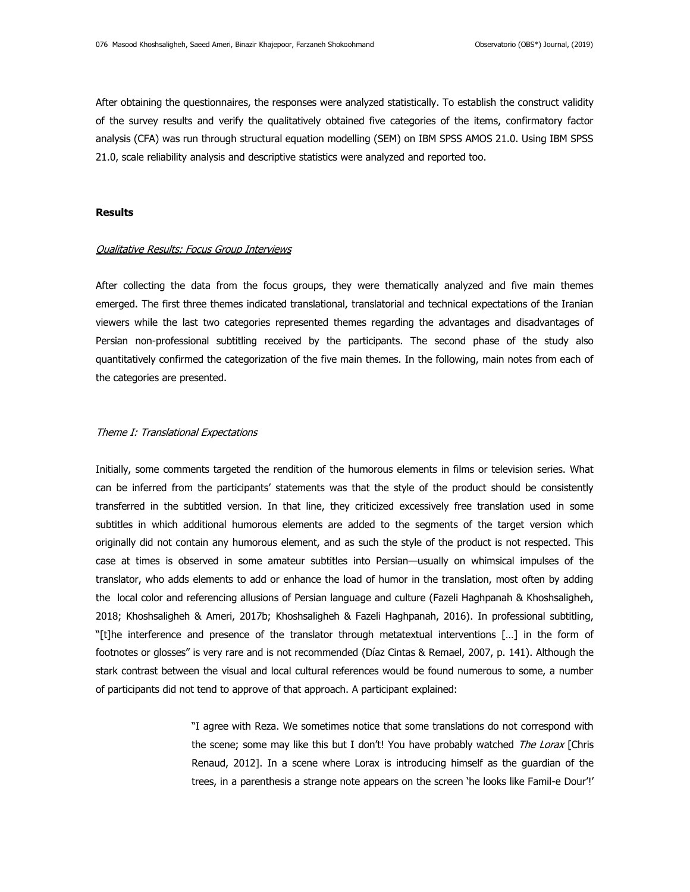After obtaining the questionnaires, the responses were analyzed statistically. To establish the construct validity of the survey results and verify the qualitatively obtained five categories of the items, confirmatory factor analysis (CFA) was run through structural equation modelling (SEM) on IBM SPSS AMOS 21.0. Using IBM SPSS 21.0, scale reliability analysis and descriptive statistics were analyzed and reported too.

## **Results**

### Qualitative Results: Focus Group Interviews

After collecting the data from the focus groups, they were thematically analyzed and five main themes emerged. The first three themes indicated translational, translatorial and technical expectations of the Iranian viewers while the last two categories represented themes regarding the advantages and disadvantages of Persian non-professional subtitling received by the participants. The second phase of the study also quantitatively confirmed the categorization of the five main themes. In the following, main notes from each of the categories are presented.

# Theme I: Translational Expectations

Initially, some comments targeted the rendition of the humorous elements in films or television series. What can be inferred from the participants' statements was that the style of the product should be consistently transferred in the subtitled version. In that line, they criticized excessively free translation used in some subtitles in which additional humorous elements are added to the segments of the target version which originally did not contain any humorous element, and as such the style of the product is not respected. This case at times is observed in some amateur subtitles into Persian—usually on whimsical impulses of the translator, who adds elements to add or enhance the load of humor in the translation, most often by adding the local color and referencing allusions of Persian language and culture (Fazeli Haghpanah & Khoshsaligheh, 2018; Khoshsaligheh & Ameri, 2017b; Khoshsaligheh & Fazeli Haghpanah, 2016). In professional subtitling, "[t]he interference and presence of the translator through metatextual interventions […] in the form of footnotes or glosses" is very rare and is not recommended (Díaz Cintas & Remael, 2007, p. 141). Although the stark contrast between the visual and local cultural references would be found numerous to some, a number of participants did not tend to approve of that approach. A participant explained:

> "I agree with Reza. We sometimes notice that some translations do not correspond with the scene; some may like this but I don't! You have probably watched The Lorax [Chris Renaud, 2012]. In a scene where Lorax is introducing himself as the guardian of the trees, in a parenthesis a strange note appears on the screen 'he looks like Famil-e Dour'!'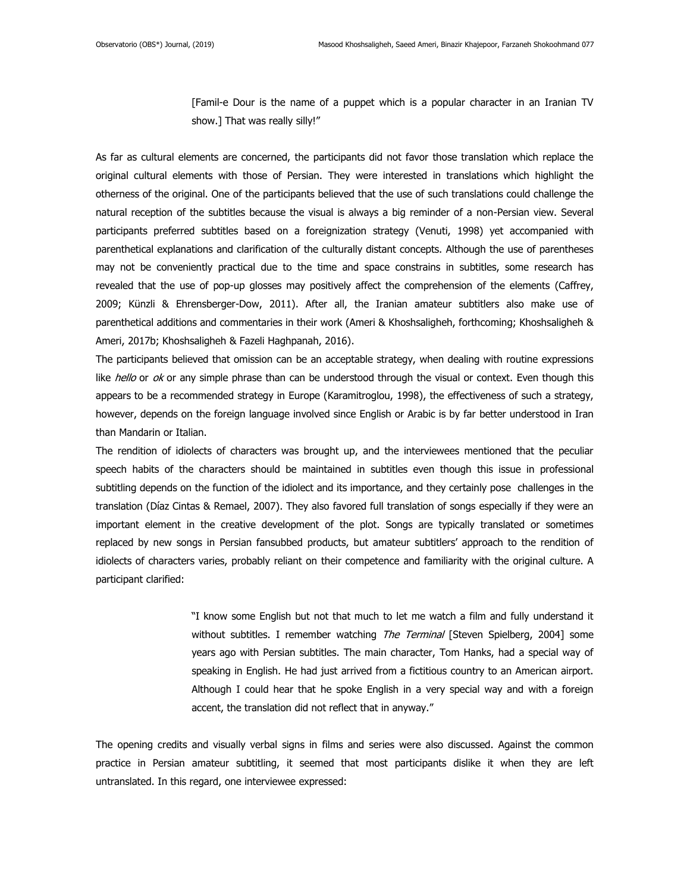[Famil-e Dour is the name of a puppet which is a popular character in an Iranian TV show.] That was really silly!"

As far as cultural elements are concerned, the participants did not favor those translation which replace the original cultural elements with those of Persian. They were interested in translations which highlight the otherness of the original. One of the participants believed that the use of such translations could challenge the natural reception of the subtitles because the visual is always a big reminder of a non-Persian view. Several participants preferred subtitles based on a foreignization strategy (Venuti, 1998) yet accompanied with parenthetical explanations and clarification of the culturally distant concepts. Although the use of parentheses may not be conveniently practical due to the time and space constrains in subtitles, some research has revealed that the use of pop-up glosses may positively affect the comprehension of the elements (Caffrey, 2009; Künzli & Ehrensberger-Dow, 2011). After all, the Iranian amateur subtitlers also make use of parenthetical additions and commentaries in their work (Ameri & Khoshsaligheh, forthcoming; Khoshsaligheh & Ameri, 2017b; Khoshsaligheh & Fazeli Haghpanah, 2016).

The participants believed that omission can be an acceptable strategy, when dealing with routine expressions like hello or  $ok$  or any simple phrase than can be understood through the visual or context. Even though this appears to be a recommended strategy in Europe (Karamitroglou, 1998), the effectiveness of such a strategy, however, depends on the foreign language involved since English or Arabic is by far better understood in Iran than Mandarin or Italian.

The rendition of idiolects of characters was brought up, and the interviewees mentioned that the peculiar speech habits of the characters should be maintained in subtitles even though this issue in professional subtitling depends on the function of the idiolect and its importance, and they certainly pose challenges in the translation (Díaz Cintas & Remael, 2007). They also favored full translation of songs especially if they were an important element in the creative development of the plot. Songs are typically translated or sometimes replaced by new songs in Persian fansubbed products, but amateur subtitlers' approach to the rendition of idiolects of characters varies, probably reliant on their competence and familiarity with the original culture. A participant clarified:

> "I know some English but not that much to let me watch a film and fully understand it without subtitles. I remember watching The Terminal [Steven Spielberg, 2004] some years ago with Persian subtitles. The main character, Tom Hanks, had a special way of speaking in English. He had just arrived from a fictitious country to an American airport. Although I could hear that he spoke English in a very special way and with a foreign accent, the translation did not reflect that in anyway."

The opening credits and visually verbal signs in films and series were also discussed. Against the common practice in Persian amateur subtitling, it seemed that most participants dislike it when they are left untranslated. In this regard, one interviewee expressed: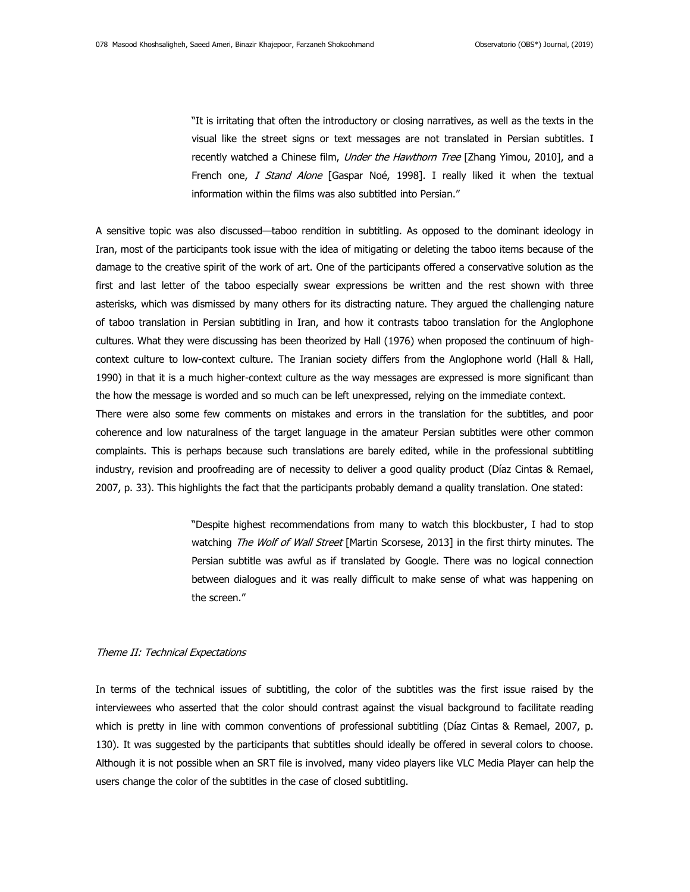"It is irritating that often the introductory or closing narratives, as well as the texts in the visual like the street signs or text messages are not translated in Persian subtitles. I recently watched a Chinese film, *Under the Hawthorn Tree* [Zhang Yimou, 2010], and a French one, I Stand Alone [Gaspar Noé, 1998]. I really liked it when the textual information within the films was also subtitled into Persian."

A sensitive topic was also discussed—taboo rendition in subtitling. As opposed to the dominant ideology in Iran, most of the participants took issue with the idea of mitigating or deleting the taboo items because of the damage to the creative spirit of the work of art. One of the participants offered a conservative solution as the first and last letter of the taboo especially swear expressions be written and the rest shown with three asterisks, which was dismissed by many others for its distracting nature. They argued the challenging nature of taboo translation in Persian subtitling in Iran, and how it contrasts taboo translation for the Anglophone cultures. What they were discussing has been theorized by Hall (1976) when proposed the continuum of highcontext culture to low-context culture. The Iranian society differs from the Anglophone world (Hall & Hall, 1990) in that it is a much higher-context culture as the way messages are expressed is more significant than the how the message is worded and so much can be left unexpressed, relying on the immediate context.

There were also some few comments on mistakes and errors in the translation for the subtitles, and poor coherence and low naturalness of the target language in the amateur Persian subtitles were other common complaints. This is perhaps because such translations are barely edited, while in the professional subtitling industry, revision and proofreading are of necessity to deliver a good quality product (Díaz Cintas & Remael, 2007, p. 33). This highlights the fact that the participants probably demand a quality translation. One stated:

> "Despite highest recommendations from many to watch this blockbuster, I had to stop watching The Wolf of Wall Street [Martin Scorsese, 2013] in the first thirty minutes. The Persian subtitle was awful as if translated by Google. There was no logical connection between dialogues and it was really difficult to make sense of what was happening on the screen."

## Theme II: Technical Expectations

In terms of the technical issues of subtitling, the color of the subtitles was the first issue raised by the interviewees who asserted that the color should contrast against the visual background to facilitate reading which is pretty in line with common conventions of professional subtitling (Díaz Cintas & Remael, 2007, p. 130). It was suggested by the participants that subtitles should ideally be offered in several colors to choose. Although it is not possible when an SRT file is involved, many video players like VLC Media Player can help the users change the color of the subtitles in the case of closed subtitling.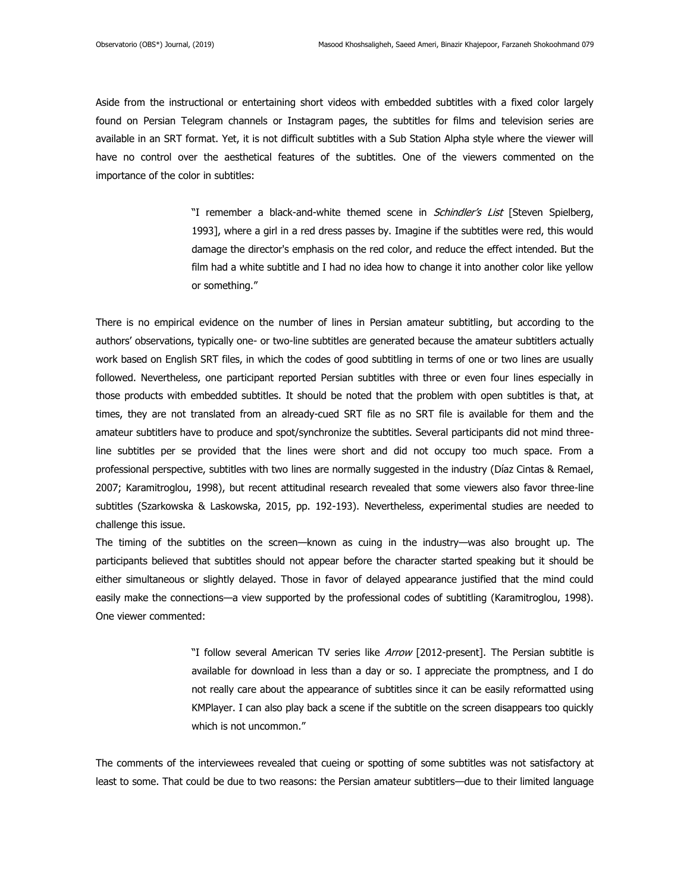Aside from the instructional or entertaining short videos with embedded subtitles with a fixed color largely found on Persian Telegram channels or Instagram pages, the subtitles for films and television series are available in an SRT format. Yet, it is not difficult subtitles with a Sub Station Alpha style where the viewer will have no control over the aesthetical features of the subtitles. One of the viewers commented on the importance of the color in subtitles:

> "I remember a black-and-white themed scene in *Schindler's List* [Steven Spielberg, 1993], where a girl in a red dress passes by. Imagine if the subtitles were red, this would damage the director's emphasis on the red color, and reduce the effect intended. But the film had a white subtitle and I had no idea how to change it into another color like yellow or something."

There is no empirical evidence on the number of lines in Persian amateur subtitling, but according to the authors' observations, typically one- or two-line subtitles are generated because the amateur subtitlers actually work based on English SRT files, in which the codes of good subtitling in terms of one or two lines are usually followed. Nevertheless, one participant reported Persian subtitles with three or even four lines especially in those products with embedded subtitles. It should be noted that the problem with open subtitles is that, at times, they are not translated from an already-cued SRT file as no SRT file is available for them and the amateur subtitlers have to produce and spot/synchronize the subtitles. Several participants did not mind threeline subtitles per se provided that the lines were short and did not occupy too much space. From a professional perspective, subtitles with two lines are normally suggested in the industry (Díaz Cintas & Remael, 2007; Karamitroglou, 1998), but recent attitudinal research revealed that some viewers also favor three-line subtitles (Szarkowska & Laskowska, 2015, pp. 192-193). Nevertheless, experimental studies are needed to challenge this issue.

The timing of the subtitles on the screen—known as cuing in the industry—was also brought up. The participants believed that subtitles should not appear before the character started speaking but it should be either simultaneous or slightly delayed. Those in favor of delayed appearance justified that the mind could easily make the connections—a view supported by the professional codes of subtitling (Karamitroglou, 1998). One viewer commented:

> "I follow several American TV series like Arrow [2012-present]. The Persian subtitle is available for download in less than a day or so. I appreciate the promptness, and I do not really care about the appearance of subtitles since it can be easily reformatted using KMPlayer. I can also play back a scene if the subtitle on the screen disappears too quickly which is not uncommon."

The comments of the interviewees revealed that cueing or spotting of some subtitles was not satisfactory at least to some. That could be due to two reasons: the Persian amateur subtitlers—due to their limited language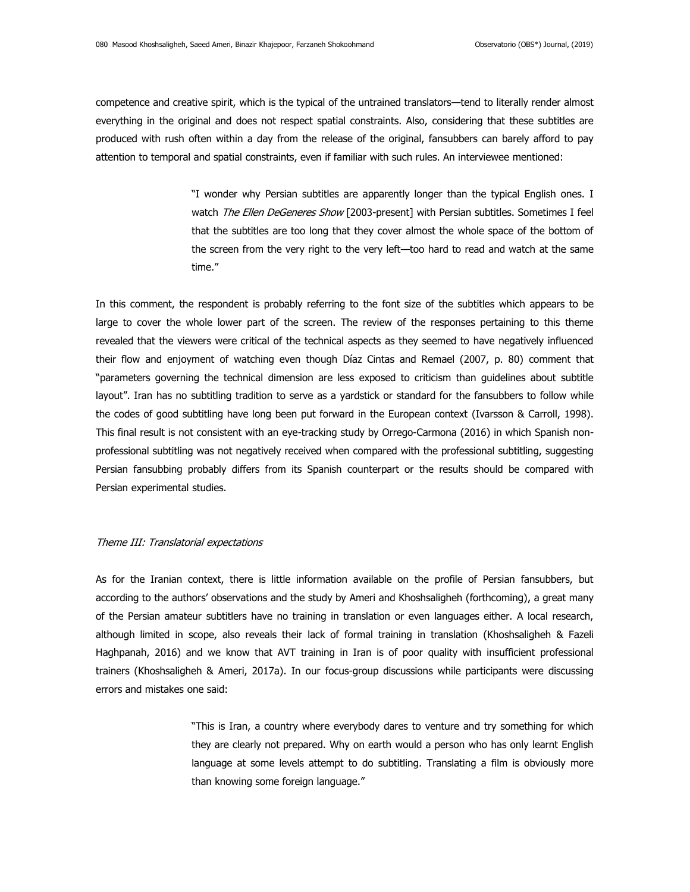competence and creative spirit, which is the typical of the untrained translators—tend to literally render almost everything in the original and does not respect spatial constraints. Also, considering that these subtitles are produced with rush often within a day from the release of the original, fansubbers can barely afford to pay attention to temporal and spatial constraints, even if familiar with such rules. An interviewee mentioned:

> "I wonder why Persian subtitles are apparently longer than the typical English ones. I watch The Ellen DeGeneres Show [2003-present] with Persian subtitles. Sometimes I feel that the subtitles are too long that they cover almost the whole space of the bottom of the screen from the very right to the very left—too hard to read and watch at the same time."

In this comment, the respondent is probably referring to the font size of the subtitles which appears to be large to cover the whole lower part of the screen. The review of the responses pertaining to this theme revealed that the viewers were critical of the technical aspects as they seemed to have negatively influenced their flow and enjoyment of watching even though Díaz Cintas and Remael (2007, p. 80) comment that "parameters governing the technical dimension are less exposed to criticism than guidelines about subtitle layout". Iran has no subtitling tradition to serve as a yardstick or standard for the fansubbers to follow while the codes of good subtitling have long been put forward in the European context (Ivarsson & Carroll, 1998). This final result is not consistent with an eye-tracking study by Orrego-Carmona (2016) in which Spanish nonprofessional subtitling was not negatively received when compared with the professional subtitling, suggesting Persian fansubbing probably differs from its Spanish counterpart or the results should be compared with Persian experimental studies.

#### Theme III: Translatorial expectations

As for the Iranian context, there is little information available on the profile of Persian fansubbers, but according to the authors' observations and the study by Ameri and Khoshsaligheh (forthcoming), a great many of the Persian amateur subtitlers have no training in translation or even languages either. A local research, although limited in scope, also reveals their lack of formal training in translation (Khoshsaligheh & Fazeli Haghpanah, 2016) and we know that AVT training in Iran is of poor quality with insufficient professional trainers (Khoshsaligheh & Ameri, 2017a). In our focus-group discussions while participants were discussing errors and mistakes one said:

> "This is Iran, a country where everybody dares to venture and try something for which they are clearly not prepared. Why on earth would a person who has only learnt English language at some levels attempt to do subtitling. Translating a film is obviously more than knowing some foreign language."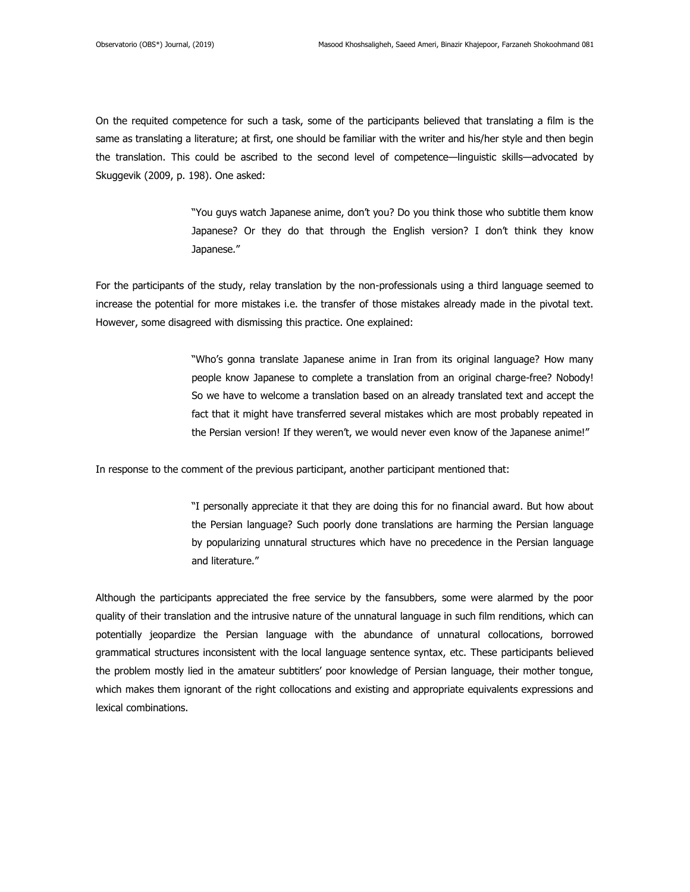On the requited competence for such a task, some of the participants believed that translating a film is the same as translating a literature; at first, one should be familiar with the writer and his/her style and then begin the translation. This could be ascribed to the second level of competence—linguistic skills—advocated by Skuggevik (2009, p. 198). One asked:

> "You guys watch Japanese anime, don't you? Do you think those who subtitle them know Japanese? Or they do that through the English version? I don't think they know Japanese."

For the participants of the study, relay translation by the non-professionals using a third language seemed to increase the potential for more mistakes i.e. the transfer of those mistakes already made in the pivotal text. However, some disagreed with dismissing this practice. One explained:

> "Who's gonna translate Japanese anime in Iran from its original language? How many people know Japanese to complete a translation from an original charge-free? Nobody! So we have to welcome a translation based on an already translated text and accept the fact that it might have transferred several mistakes which are most probably repeated in the Persian version! If they weren't, we would never even know of the Japanese anime!"

In response to the comment of the previous participant, another participant mentioned that:

"I personally appreciate it that they are doing this for no financial award. But how about the Persian language? Such poorly done translations are harming the Persian language by popularizing unnatural structures which have no precedence in the Persian language and literature."

Although the participants appreciated the free service by the fansubbers, some were alarmed by the poor quality of their translation and the intrusive nature of the unnatural language in such film renditions, which can potentially jeopardize the Persian language with the abundance of unnatural collocations, borrowed grammatical structures inconsistent with the local language sentence syntax, etc. These participants believed the problem mostly lied in the amateur subtitlers' poor knowledge of Persian language, their mother tongue, which makes them ignorant of the right collocations and existing and appropriate equivalents expressions and lexical combinations.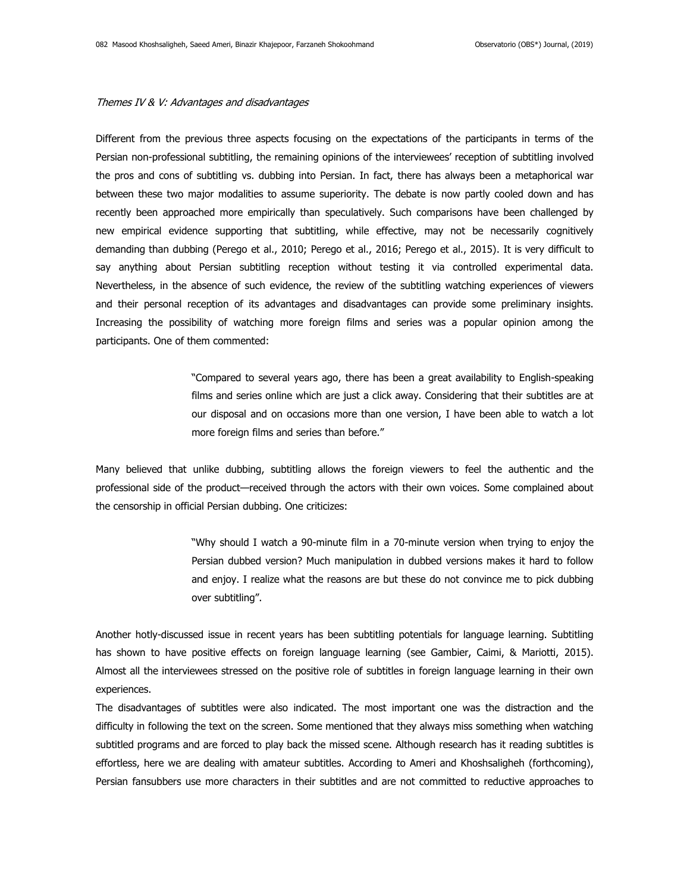#### Themes IV & V: Advantages and disadvantages

Different from the previous three aspects focusing on the expectations of the participants in terms of the Persian non-professional subtitling, the remaining opinions of the interviewees' reception of subtitling involved the pros and cons of subtitling vs. dubbing into Persian. In fact, there has always been a metaphorical war between these two major modalities to assume superiority. The debate is now partly cooled down and has recently been approached more empirically than speculatively. Such comparisons have been challenged by new empirical evidence supporting that subtitling, while effective, may not be necessarily cognitively demanding than dubbing (Perego et al., 2010; Perego et al., 2016; Perego et al., 2015). It is very difficult to say anything about Persian subtitling reception without testing it via controlled experimental data. Nevertheless, in the absence of such evidence, the review of the subtitling watching experiences of viewers and their personal reception of its advantages and disadvantages can provide some preliminary insights. Increasing the possibility of watching more foreign films and series was a popular opinion among the participants. One of them commented:

> "Compared to several years ago, there has been a great availability to English-speaking films and series online which are just a click away. Considering that their subtitles are at our disposal and on occasions more than one version, I have been able to watch a lot more foreign films and series than before."

Many believed that unlike dubbing, subtitling allows the foreign viewers to feel the authentic and the professional side of the product—received through the actors with their own voices. Some complained about the censorship in official Persian dubbing. One criticizes:

> "Why should I watch a 90-minute film in a 70-minute version when trying to enjoy the Persian dubbed version? Much manipulation in dubbed versions makes it hard to follow and enjoy. I realize what the reasons are but these do not convince me to pick dubbing over subtitling".

Another hotly-discussed issue in recent years has been subtitling potentials for language learning. Subtitling has shown to have positive effects on foreign language learning (see Gambier, Caimi, & Mariotti, 2015). Almost all the interviewees stressed on the positive role of subtitles in foreign language learning in their own experiences.

The disadvantages of subtitles were also indicated. The most important one was the distraction and the difficulty in following the text on the screen. Some mentioned that they always miss something when watching subtitled programs and are forced to play back the missed scene. Although research has it reading subtitles is effortless, here we are dealing with amateur subtitles. According to Ameri and Khoshsaligheh (forthcoming), Persian fansubbers use more characters in their subtitles and are not committed to reductive approaches to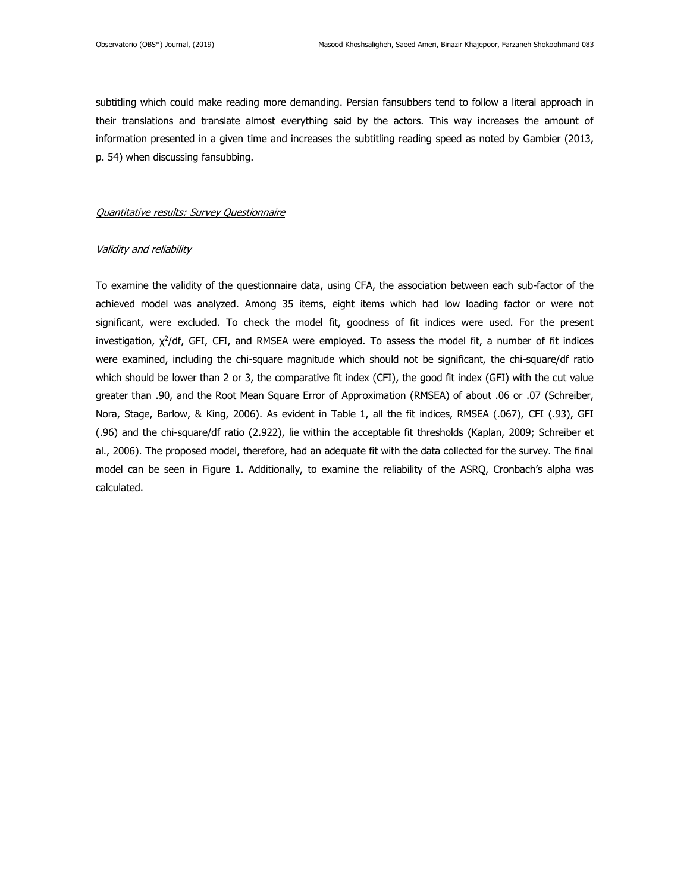subtitling which could make reading more demanding. Persian fansubbers tend to follow a literal approach in their translations and translate almost everything said by the actors. This way increases the amount of information presented in a given time and increases the subtitling reading speed as noted by Gambier (2013, p. 54) when discussing fansubbing.

### Quantitative results: Survey Questionnaire

#### Validity and reliability

To examine the validity of the questionnaire data, using CFA, the association between each sub-factor of the achieved model was analyzed. Among 35 items, eight items which had low loading factor or were not significant, were excluded. To check the model fit, goodness of fit indices were used. For the present investigation, χ<sup>2</sup>/df, GFI, CFI, and RMSEA were employed. To assess the model fit, a number of fit indices were examined, including the chi-square magnitude which should not be significant, the chi-square/df ratio which should be lower than 2 or 3, the comparative fit index (CFI), the good fit index (GFI) with the cut value greater than .90, and the Root Mean Square Error of Approximation (RMSEA) of about .06 or .07 (Schreiber, Nora, Stage, Barlow, & King, 2006). As evident in Table 1, all the fit indices, RMSEA (.067), CFI (.93), GFI (.96) and the chi-square/df ratio (2.922), lie within the acceptable fit thresholds (Kaplan, 2009; Schreiber et al., 2006). The proposed model, therefore, had an adequate fit with the data collected for the survey. The final model can be seen in Figure 1. Additionally, to examine the reliability of the ASRQ, Cronbach's alpha was calculated.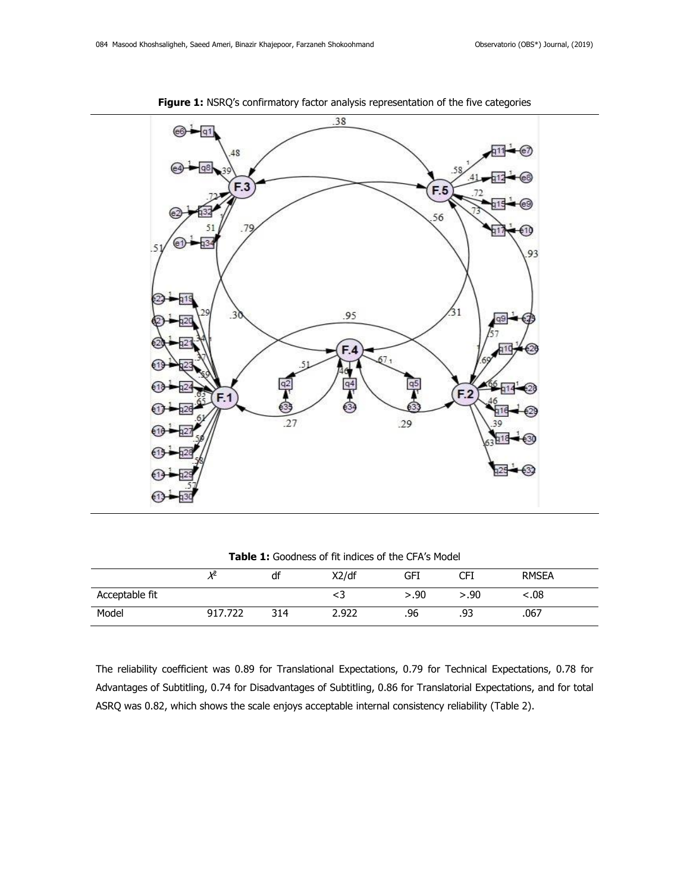

**Figure 1:** NSRQ's confirmatory factor analysis representation of the five categories

**Table 1:** Goodness of fit indices of the CFA's Model

|                | V2           | df  | X2/df | GFI  | CFI  | <b>RMSEA</b> |
|----------------|--------------|-----|-------|------|------|--------------|
| Acceptable fit |              |     | د>    | >.90 | >.90 | 08.>         |
| Model          | .722<br>917. | 314 | 2.922 | .96  | .93  | .067         |

The reliability coefficient was 0.89 for Translational Expectations, 0.79 for Technical Expectations, 0.78 for Advantages of Subtitling, 0.74 for Disadvantages of Subtitling, 0.86 for Translatorial Expectations, and for total ASRQ was 0.82, which shows the scale enjoys acceptable internal consistency reliability (Table 2).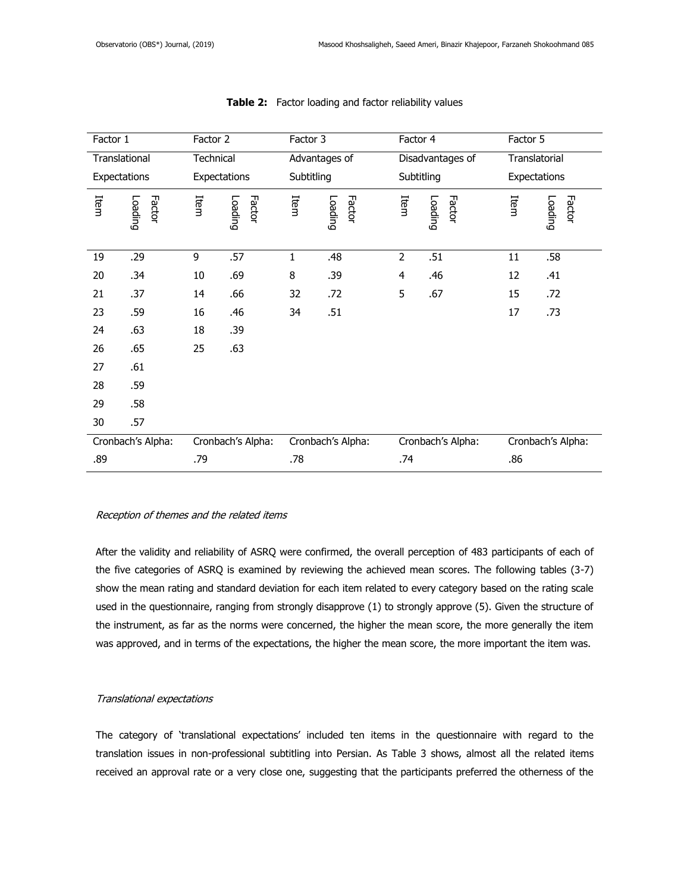| Factor 1      |                   | Factor 2     |                   | Factor 3   |                   | Factor 4       |                   | Factor 5      |                   |
|---------------|-------------------|--------------|-------------------|------------|-------------------|----------------|-------------------|---------------|-------------------|
| Translational |                   | Technical    |                   |            | Advantages of     |                | Disadvantages of  | Translatorial |                   |
| Expectations  |                   | Expectations |                   | Subtitling |                   | Subtitling     |                   | Expectations  |                   |
| Item          | Loading<br>Factor | Item         | Factor<br>Loading | Item       | Factor<br>Loading | Item           | Loading<br>Factor | Item          | Factor<br>Loading |
| 19            | .29               | 9            | .57               | 1          | .48               | $\overline{2}$ | .51               | 11            | .58               |
| 20            | .34               | 10           | .69               | 8          | .39               | 4              | .46               | 12            | .41               |
| 21            | .37               | 14           | .66               | 32         | .72               | 5              | .67               | 15            | .72               |
| 23            | .59               | 16           | .46               | 34         | .51               |                |                   | 17            | .73               |
| 24            | .63               | 18           | .39               |            |                   |                |                   |               |                   |
| 26            | .65               | 25           | .63               |            |                   |                |                   |               |                   |
| 27            | .61               |              |                   |            |                   |                |                   |               |                   |
| 28            | .59               |              |                   |            |                   |                |                   |               |                   |
| 29            | .58               |              |                   |            |                   |                |                   |               |                   |
| 30            | .57               |              |                   |            |                   |                |                   |               |                   |
|               | Cronbach's Alpha: |              | Cronbach's Alpha: |            | Cronbach's Alpha: |                | Cronbach's Alpha: |               | Cronbach's Alpha: |
| .89           |                   | .79          |                   | .78        |                   | .74            |                   | .86           |                   |

# **Table 2:** Factor loading and factor reliability values

# Reception of themes and the related items

After the validity and reliability of ASRQ were confirmed, the overall perception of 483 participants of each of the five categories of ASRQ is examined by reviewing the achieved mean scores. The following tables (3-7) show the mean rating and standard deviation for each item related to every category based on the rating scale used in the questionnaire, ranging from strongly disapprove (1) to strongly approve (5). Given the structure of the instrument, as far as the norms were concerned, the higher the mean score, the more generally the item was approved, and in terms of the expectations, the higher the mean score, the more important the item was.

# Translational expectations

The category of 'translational expectations' included ten items in the questionnaire with regard to the translation issues in non-professional subtitling into Persian. As Table 3 shows, almost all the related items received an approval rate or a very close one, suggesting that the participants preferred the otherness of the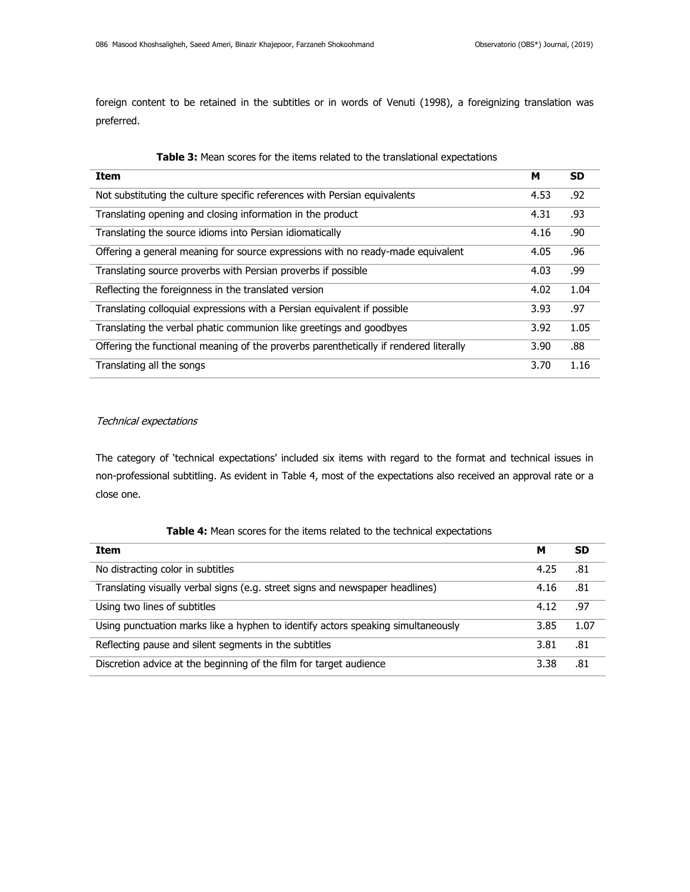foreign content to be retained in the subtitles or in words of Venuti (1998), a foreignizing translation was preferred.

| <b>Item</b>                                                                           | м    | <b>SD</b> |
|---------------------------------------------------------------------------------------|------|-----------|
| Not substituting the culture specific references with Persian equivalents             | 4.53 | .92       |
| Translating opening and closing information in the product                            | 4.31 | .93       |
| Translating the source idioms into Persian idiomatically                              | 4.16 | .90       |
| Offering a general meaning for source expressions with no ready-made equivalent       | 4.05 | .96       |
| Translating source proverbs with Persian proverbs if possible                         | 4.03 | .99       |
| Reflecting the foreignness in the translated version                                  | 4.02 | 1.04      |
| Translating colloquial expressions with a Persian equivalent if possible              | 3.93 | .97       |
| Translating the verbal phatic communion like greetings and goodbyes                   | 3.92 | 1.05      |
| Offering the functional meaning of the proverbs parenthetically if rendered literally | 3.90 | .88       |
| Translating all the songs                                                             | 3.70 | 1.16      |

# Technical expectations

The category of 'technical expectations' included six items with regard to the format and technical issues in non-professional subtitling. As evident in Table 4, most of the expectations also received an approval rate or a close one.

| Table 4: Mean scores for the items related to the technical expectations |  |  |  |  |
|--------------------------------------------------------------------------|--|--|--|--|
|--------------------------------------------------------------------------|--|--|--|--|

| Item                                                                             | м    | <b>SD</b> |
|----------------------------------------------------------------------------------|------|-----------|
| No distracting color in subtitles                                                | 4.25 | .81       |
| Translating visually verbal signs (e.g. street signs and newspaper headlines)    | 4.16 | .81       |
| Using two lines of subtitles                                                     | 4.12 | .97       |
| Using punctuation marks like a hyphen to identify actors speaking simultaneously | 3.85 | 1.07      |
| Reflecting pause and silent segments in the subtitles                            | 3.81 | .81       |
| Discretion advice at the beginning of the film for target audience               | 3.38 | .81       |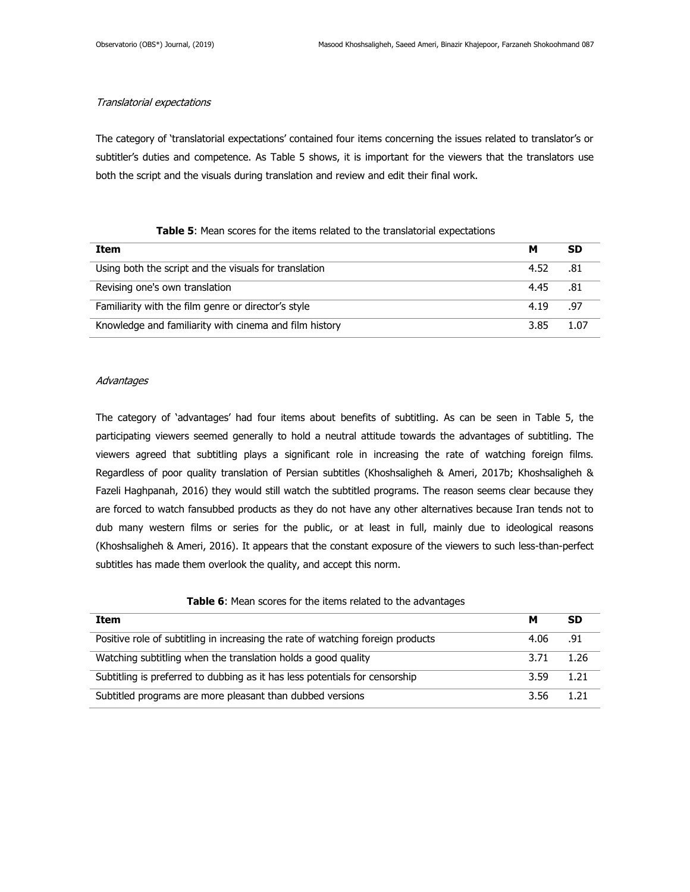# Translatorial expectations

The category of 'translatorial expectations' contained four items concerning the issues related to translator's or subtitler's duties and competence. As Table 5 shows, it is important for the viewers that the translators use both the script and the visuals during translation and review and edit their final work.

# **Table 5**: Mean scores for the items related to the translatorial expectations

| Item                                                   | м    | <b>SD</b> |
|--------------------------------------------------------|------|-----------|
| Using both the script and the visuals for translation  | 4.52 | - .81     |
| Revising one's own translation                         | 4.45 | .81       |
| Familiarity with the film genre or director's style    | 4.19 | .97       |
| Knowledge and familiarity with cinema and film history | 3.85 | 1.07      |

## **Advantages**

The category of 'advantages' had four items about benefits of subtitling. As can be seen in Table 5, the participating viewers seemed generally to hold a neutral attitude towards the advantages of subtitling. The viewers agreed that subtitling plays a significant role in increasing the rate of watching foreign films. Regardless of poor quality translation of Persian subtitles (Khoshsaligheh & Ameri, 2017b; Khoshsaligheh & Fazeli Haghpanah, 2016) they would still watch the subtitled programs. The reason seems clear because they are forced to watch fansubbed products as they do not have any other alternatives because Iran tends not to dub many western films or series for the public, or at least in full, mainly due to ideological reasons (Khoshsaligheh & Ameri, 2016). It appears that the constant exposure of the viewers to such less-than-perfect subtitles has made them overlook the quality, and accept this norm.

# **Table 6**: Mean scores for the items related to the advantages

| Item                                                                            |           | SD   |
|---------------------------------------------------------------------------------|-----------|------|
| Positive role of subtitling in increasing the rate of watching foreign products | 4.06 .91  |      |
| Watching subtitling when the translation holds a good quality                   | 3.71 1.26 |      |
| Subtitling is preferred to dubbing as it has less potentials for censorship     | 3.59      | 1.21 |
| Subtitled programs are more pleasant than dubbed versions                       | 3.56      | 1.21 |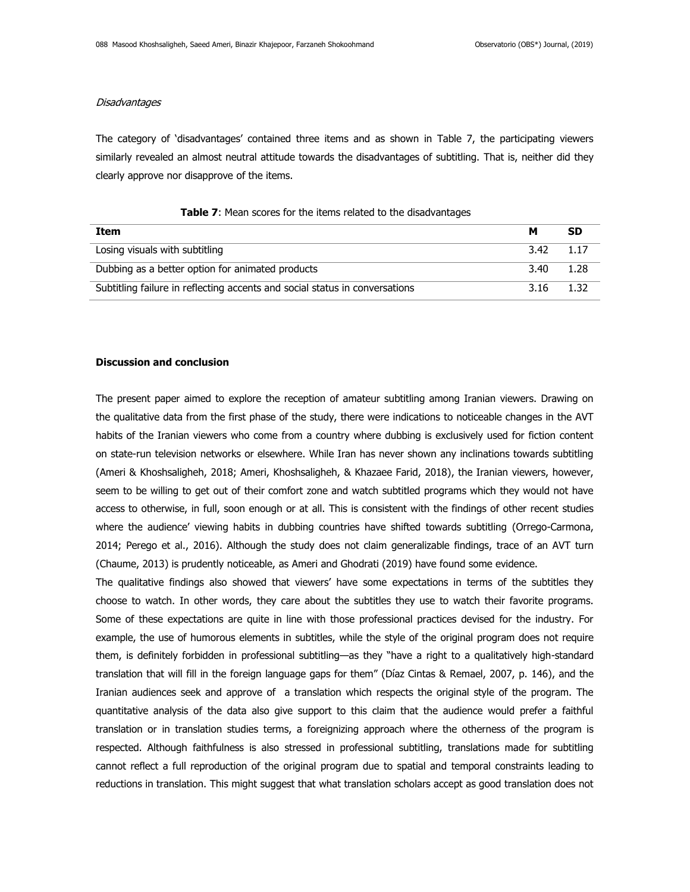# **Disadvantages**

The category of 'disadvantages' contained three items and as shown in Table 7, the participating viewers similarly revealed an almost neutral attitude towards the disadvantages of subtitling. That is, neither did they clearly approve nor disapprove of the items.

| Item                                                                        | м                  | <b>SD</b> |
|-----------------------------------------------------------------------------|--------------------|-----------|
| Losing visuals with subtitling                                              | $3.42 \qquad 1.17$ |           |
| Dubbing as a better option for animated products                            | 3.40               | 1.28      |
| Subtitling failure in reflecting accents and social status in conversations | 3.16               | 1.32      |

## **Table 7**: Mean scores for the items related to the disadvantages

### **Discussion and conclusion**

The present paper aimed to explore the reception of amateur subtitling among Iranian viewers. Drawing on the qualitative data from the first phase of the study, there were indications to noticeable changes in the AVT habits of the Iranian viewers who come from a country where dubbing is exclusively used for fiction content on state-run television networks or elsewhere. While Iran has never shown any inclinations towards subtitling (Ameri & Khoshsaligheh, 2018; Ameri, Khoshsaligheh, & Khazaee Farid, 2018), the Iranian viewers, however, seem to be willing to get out of their comfort zone and watch subtitled programs which they would not have access to otherwise, in full, soon enough or at all. This is consistent with the findings of other recent studies where the audience' viewing habits in dubbing countries have shifted towards subtitling (Orrego-Carmona, 2014; Perego et al., 2016). Although the study does not claim generalizable findings, trace of an AVT turn (Chaume, 2013) is prudently noticeable, as Ameri and Ghodrati (2019) have found some evidence.

The qualitative findings also showed that viewers' have some expectations in terms of the subtitles they choose to watch. In other words, they care about the subtitles they use to watch their favorite programs. Some of these expectations are quite in line with those professional practices devised for the industry. For example, the use of humorous elements in subtitles, while the style of the original program does not require them, is definitely forbidden in professional subtitling—as they "have a right to a qualitatively high-standard translation that will fill in the foreign language gaps for them" (Díaz Cintas & Remael, 2007, p. 146), and the Iranian audiences seek and approve of a translation which respects the original style of the program. The quantitative analysis of the data also give support to this claim that the audience would prefer a faithful translation or in translation studies terms, a foreignizing approach where the otherness of the program is respected. Although faithfulness is also stressed in professional subtitling, translations made for subtitling cannot reflect a full reproduction of the original program due to spatial and temporal constraints leading to reductions in translation. This might suggest that what translation scholars accept as good translation does not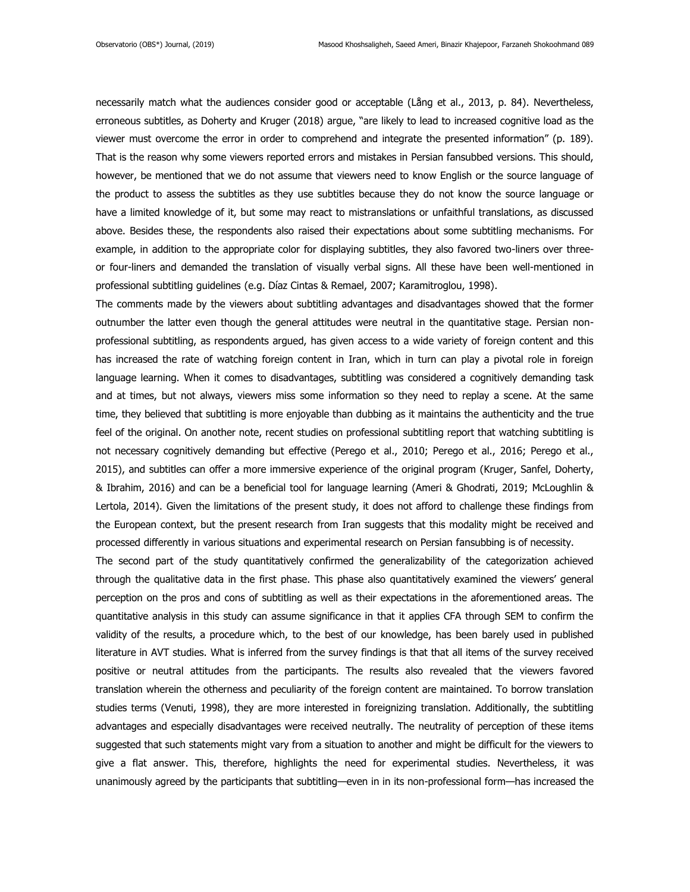necessarily match what the audiences consider good or acceptable (Lång et al., 2013, p. 84). Nevertheless, erroneous subtitles, as Doherty and Kruger (2018) argue, "are likely to lead to increased cognitive load as the viewer must overcome the error in order to comprehend and integrate the presented information" (p. 189). That is the reason why some viewers reported errors and mistakes in Persian fansubbed versions. This should, however, be mentioned that we do not assume that viewers need to know English or the source language of the product to assess the subtitles as they use subtitles because they do not know the source language or have a limited knowledge of it, but some may react to mistranslations or unfaithful translations, as discussed above. Besides these, the respondents also raised their expectations about some subtitling mechanisms. For example, in addition to the appropriate color for displaying subtitles, they also favored two-liners over threeor four-liners and demanded the translation of visually verbal signs. All these have been well-mentioned in professional subtitling guidelines (e.g. Díaz Cintas & Remael, 2007; Karamitroglou, 1998).

The comments made by the viewers about subtitling advantages and disadvantages showed that the former outnumber the latter even though the general attitudes were neutral in the quantitative stage. Persian nonprofessional subtitling, as respondents argued, has given access to a wide variety of foreign content and this has increased the rate of watching foreign content in Iran, which in turn can play a pivotal role in foreign language learning. When it comes to disadvantages, subtitling was considered a cognitively demanding task and at times, but not always, viewers miss some information so they need to replay a scene. At the same time, they believed that subtitling is more enjoyable than dubbing as it maintains the authenticity and the true feel of the original. On another note, recent studies on professional subtitling report that watching subtitling is not necessary cognitively demanding but effective (Perego et al., 2010; Perego et al., 2016; Perego et al., 2015), and subtitles can offer a more immersive experience of the original program (Kruger, Sanfel, Doherty, & Ibrahim, 2016) and can be a beneficial tool for language learning (Ameri & Ghodrati, 2019; McLoughlin & Lertola, 2014). Given the limitations of the present study, it does not afford to challenge these findings from the European context, but the present research from Iran suggests that this modality might be received and processed differently in various situations and experimental research on Persian fansubbing is of necessity.

The second part of the study quantitatively confirmed the generalizability of the categorization achieved through the qualitative data in the first phase. This phase also quantitatively examined the viewers' general perception on the pros and cons of subtitling as well as their expectations in the aforementioned areas. The quantitative analysis in this study can assume significance in that it applies CFA through SEM to confirm the validity of the results, a procedure which, to the best of our knowledge, has been barely used in published literature in AVT studies. What is inferred from the survey findings is that that all items of the survey received positive or neutral attitudes from the participants. The results also revealed that the viewers favored translation wherein the otherness and peculiarity of the foreign content are maintained. To borrow translation studies terms (Venuti, 1998), they are more interested in foreignizing translation. Additionally, the subtitling advantages and especially disadvantages were received neutrally. The neutrality of perception of these items suggested that such statements might vary from a situation to another and might be difficult for the viewers to give a flat answer. This, therefore, highlights the need for experimental studies. Nevertheless, it was unanimously agreed by the participants that subtitling—even in in its non-professional form—has increased the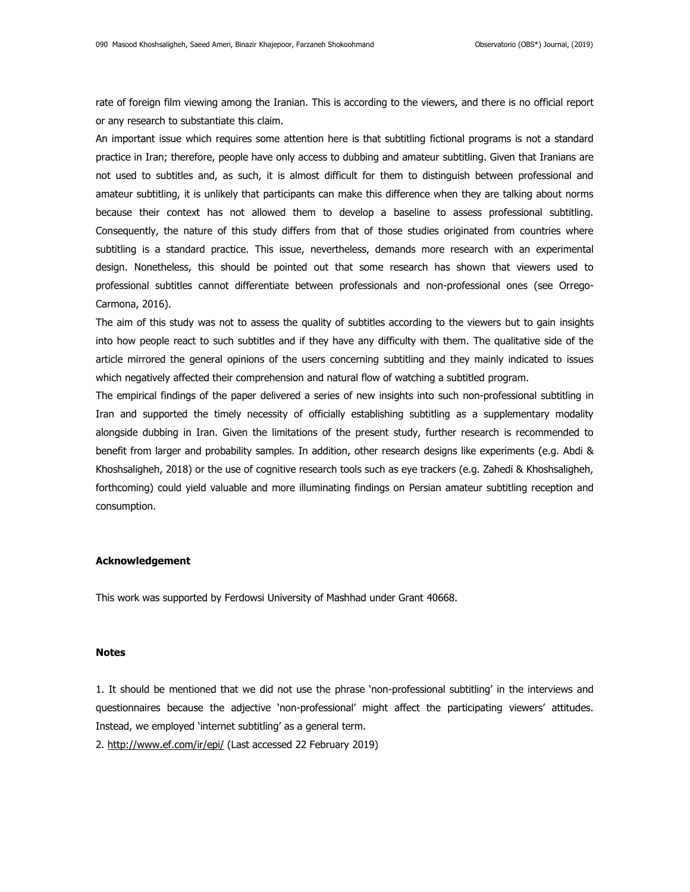rate of foreign film viewing among the Iranian. This is according to the viewers, and there is no official report or any research to substantiate this claim.

An important issue which requires some attention here is that subtitling fictional programs is not a standard practice in Iran; therefore, people have only access to dubbing and amateur subtitling. Given that Iranians are not used to subtitles and, as such, it is almost difficult for them to distinguish between professional and amateur subtitling, it is unlikely that participants can make this difference when they are talking about norms because their context has not allowed them to develop a baseline to assess professional subtitling. Consequently, the nature of this study differs from that of those studies originated from countries where subtitling is a standard practice. This issue, nevertheless, demands more research with an experimental design. Nonetheless, this should be pointed out that some research has shown that viewers used to professional subtitles cannot differentiate between professionals and non-professional ones (see Orrego-Carmona, 2016).

The aim of this study was not to assess the quality of subtitles according to the viewers but to gain insights into how people react to such subtitles and if they have any difficulty with them. The qualitative side of the article mirrored the general opinions of the users concerning subtitling and they mainly indicated to issues which negatively affected their comprehension and natural flow of watching a subtitled program.

The empirical findings of the paper delivered a series of new insights into such non-professional subtitling in Iran and supported the timely necessity of officially establishing subtitling as a supplementary modality alongside dubbing in Iran. Given the limitations of the present study, further research is recommended to benefit from larger and probability samples. In addition, other research designs like experiments (e.g. Abdi & Khoshsaligheh, 2018) or the use of cognitive research tools such as eye trackers (e.g. Zahedi & Khoshsaligheh, forthcoming) could yield valuable and more illuminating findings on Persian amateur subtitling reception and consumption.

#### **Acknowledgement**

This work was supported by Ferdowsi University of Mashhad under Grant 40668.

## **Notes**

1. It should be mentioned that we did not use the phrase 'non-professional subtitling' in the interviews and questionnaires because the adjective 'non-professional' might affect the participating viewers' attitudes. Instead, we employed 'internet subtitling' as a general term.

2.<http://www.ef.com/ir/epi/> (Last accessed 22 February 2019)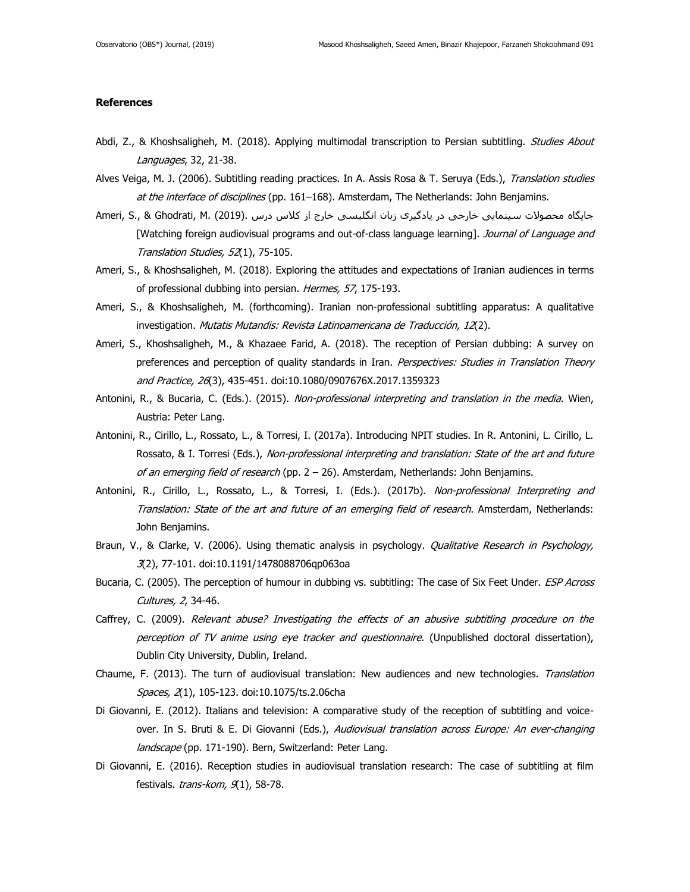### **References**

- Abdi, Z., & Khoshsaligheh, M. (2018). Applying multimodal transcription to Persian subtitling. Studies About Languages, 32, 21-38.
- Alves Veiga, M. J. (2006). Subtitling reading practices. In A. Assis Rosa & T. Seruya (Eds.), Translation studies at the interface of disciplines (pp. 161-168). Amsterdam, The Netherlands: John Benjamins.
- جایگاه محصولات سینمایی خارجی در یادگیری زبان انگلیسی خارج از کلاس درس .(2019) .Ameri, S., & Ghodrati, M. [Watching foreign audiovisual programs and out-of-class language learning]. Journal of Language and Translation Studies, 52(1), 75-105.
- Ameri, S., & Khoshsaligheh, M. (2018). Exploring the attitudes and expectations of Iranian audiences in terms of professional dubbing into persian. Hermes, 57, 175-193.
- Ameri, S., & Khoshsaligheh, M. (forthcoming). Iranian non-professional subtitling apparatus: A qualitative investigation. Mutatis Mutandis: Revista Latinoamericana de Traducción, 12(2).
- Ameri, S., Khoshsaligheh, M., & Khazaee Farid, A. (2018). The reception of Persian dubbing: A survey on preferences and perception of quality standards in Iran. Perspectives: Studies in Translation Theory and Practice, 26(3), 435-451. doi:10.1080/0907676X.2017.1359323
- Antonini, R., & Bucaria, C. (Eds.). (2015). Non-professional interpreting and translation in the media. Wien, Austria: Peter Lang.
- Antonini, R., Cirillo, L., Rossato, L., & Torresi, I. (2017a). Introducing NPIT studies. In R. Antonini, L. Cirillo, L. Rossato, & I. Torresi (Eds.), Non-professional interpreting and translation: State of the art and future of an emerging field of research (pp.  $2 - 26$ ). Amsterdam, Netherlands: John Benjamins.
- Antonini, R., Cirillo, L., Rossato, L., & Torresi, I. (Eds.). (2017b). Non-professional Interpreting and Translation: State of the art and future of an emerging field of research. Amsterdam, Netherlands: John Benjamins.
- Braun, V., & Clarke, V. (2006). Using thematic analysis in psychology. *Qualitative Research in Psychology,* 3(2), 77-101. doi:10.1191/1478088706qp063oa
- Bucaria, C. (2005). The perception of humour in dubbing vs. subtitling: The case of Six Feet Under. ESP Across Cultures, 2, 34-46.
- Caffrey, C. (2009). Relevant abuse? Investigating the effects of an abusive subtitling procedure on the perception of TV anime using eye tracker and questionnaire. (Unpublished doctoral dissertation), Dublin City University, Dublin, Ireland.
- Chaume, F. (2013). The turn of audiovisual translation: New audiences and new technologies. Translation Spaces, 2(1), 105-123. doi:10.1075/ts.2.06cha
- Di Giovanni, E. (2012). Italians and television: A comparative study of the reception of subtitling and voiceover. In S. Bruti & E. Di Giovanni (Eds.), Audiovisual translation across Europe: An ever-changing landscape (pp. 171-190). Bern, Switzerland: Peter Lang.
- Di Giovanni, E. (2016). Reception studies in audiovisual translation research: The case of subtitling at film festivals.  $trans-kom, \mathcal{A}1$ , 58-78.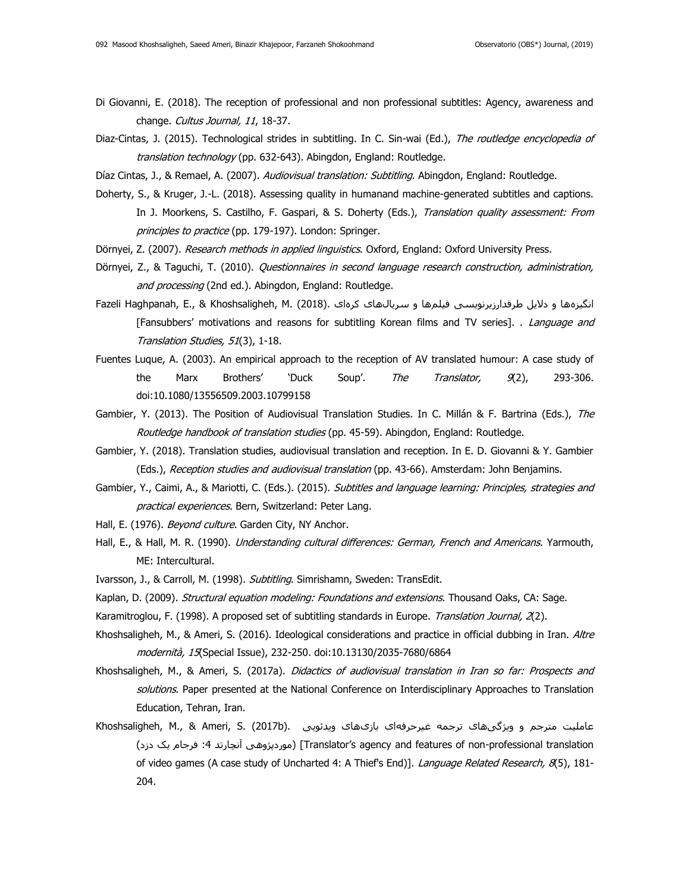- Di Giovanni, E. (2018). The reception of professional and non professional subtitles: Agency, awareness and change. Cultus Journal, 11, 18-37.
- Diaz-Cintas, J. (2015). Technological strides in subtitling. In C. Sin-wai (Ed.), The routledge encyclopedia of translation technology (pp. 632-643). Abingdon, England: Routledge.
- Díaz Cintas, J., & Remael, A. (2007). Audiovisual translation: Subtitling. Abingdon, England: Routledge.
- Doherty, S., & Kruger, J.-L. (2018). Assessing quality in humanand machine-generated subtitles and captions. In J. Moorkens, S. Castilho, F. Gaspari, & S. Doherty (Eds.), Translation quality assessment: From principles to practice (pp. 179-197). London: Springer.
- Dörnyei, Z. (2007). Research methods in applied linguistics. Oxford, England: Oxford University Press.
- Dörnyei, Z., & Taguchi, T. (2010). Questionnaires in second language research construction, administration, and processing (2nd ed.). Abingdon, England: Routledge.
- انگیزهها و دلایل طرفدارزیرنویسی فیلمها و سریالهای کرهای .(2018) . (2018) .Fazeli Haghpanah, E., & Khoshsaligheh, M [Fansubbers' motivations and reasons for subtitling Korean films and TV series]. . Language and Translation Studies, 51(3), 1-18.
- Fuentes Luque, A. (2003). An empirical approach to the reception of AV translated humour: A case study of the Marx Brothers' `Duck Soup'. The Translator, 9(2), 293-306. doi:10.1080/13556509.2003.10799158
- Gambier, Y. (2013). The Position of Audiovisual Translation Studies. In C. Millán & F. Bartrina (Eds.), The Routledge handbook of translation studies (pp. 45-59). Abingdon, England: Routledge.
- Gambier, Y. (2018). Translation studies, audiovisual translation and reception. In E. D. Giovanni & Y. Gambier (Eds.), Reception studies and audiovisual translation (pp. 43-66). Amsterdam: John Benjamins.
- Gambier, Y., Caimi, A., & Mariotti, C. (Eds.). (2015). Subtitles and language learning: Principles, strategies and practical experiences. Bern, Switzerland: Peter Lang.
- Hall, E. (1976). Beyond culture. Garden City, NY Anchor.
- Hall, E., & Hall, M. R. (1990). *Understanding cultural differences: German, French and Americans*. Yarmouth, ME: Intercultural.
- Ivarsson, J., & Carroll, M. (1998). Subtitling. Simrishamn, Sweden: TransEdit.
- Kaplan, D. (2009). Structural equation modeling: Foundations and extensions. Thousand Oaks, CA: Sage.
- Karamitroglou, F. (1998). A proposed set of subtitling standards in Europe. Translation Journal, 2(2).
- Khoshsaligheh, M., & Ameri, S. (2016). Ideological considerations and practice in official dubbing in Iran. Altre modernità, 15(Special Issue), 232-250. doi:10.13130/2035-7680/6864
- Khoshsaligheh, M., & Ameri, S. (2017a). Didactics of audiovisual translation in Iran so far: Prospects and solutions. Paper presented at the National Conference on Interdisciplinary Approaches to Translation Education, Tehran, Iran.
- عاملیت مترجم و ویژگیهای ترجمه غیرحرفهای بازیهای ویدئویی .(Khoshsaligheh, M., & Ameri, S. (2017b )دزد یک فرجام :4 آنچارتد موردپژوهی] )Translator's agency and features of non-professional translation of video games (A case study of Uncharted 4: A Thief's End)]. Language Related Research, 8(5), 181-204.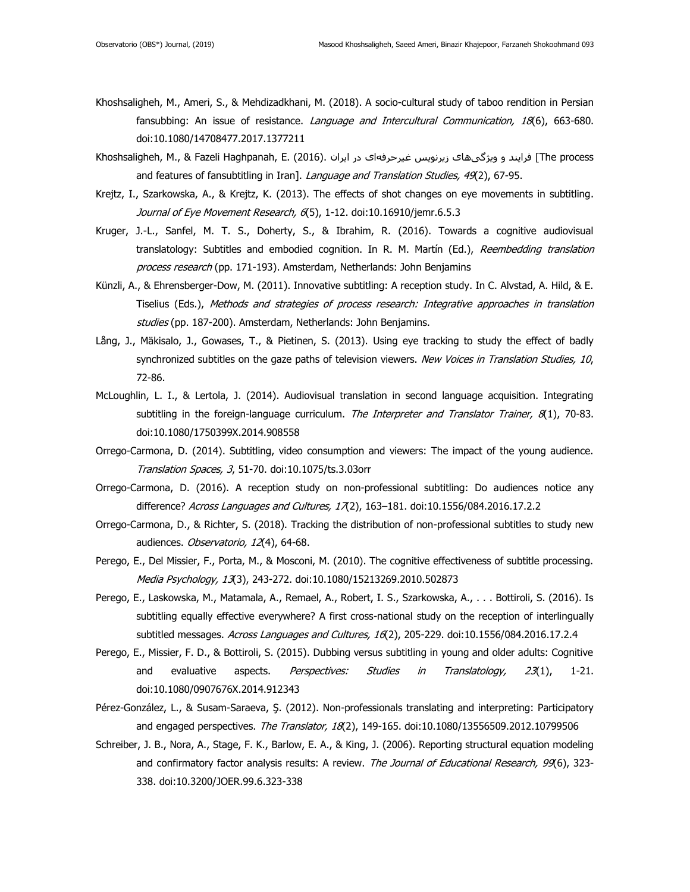- Khoshsaligheh, M., Ameri, S., & Mehdizadkhani, M. (2018). A socio-cultural study of taboo rendition in Persian fansubbing: An issue of resistance. *Language and Intercultural Communication, 18*(6), 663-680. doi:10.1080/14708477.2017.1377211
- Khoshsaligheh, M., & Fazeli Haghpanah, E. (2016). در ایران در ایران درنویس غیرحرفهای در ایران (The process and features of fansubtitling in Iran]. Language and Translation Studies, 49(2), 67-95.
- Krejtz, I., Szarkowska, A., & Krejtz, K. (2013). The effects of shot changes on eye movements in subtitling. Journal of Eye Movement Research, 6(5), 1-12. doi:10.16910/jemr.6.5.3
- Kruger, J.-L., Sanfel, M. T. S., Doherty, S., & Ibrahim, R. (2016). Towards a cognitive audiovisual translatology: Subtitles and embodied cognition. In R. M. Martín (Ed.), Reembedding translation process research (pp. 171-193). Amsterdam, Netherlands: John Benjamins
- Künzli, A., & Ehrensberger-Dow, M. (2011). Innovative subtitling: A reception study. In C. Alvstad, A. Hild, & E. Tiselius (Eds.), Methods and strategies of process research: Integrative approaches in translation studies (pp. 187-200). Amsterdam, Netherlands: John Benjamins.
- Lång, J., Mäkisalo, J., Gowases, T., & Pietinen, S. (2013). Using eye tracking to study the effect of badly synchronized subtitles on the gaze paths of television viewers. New Voices in Translation Studies, 10, 72-86.
- McLoughlin, L. I., & Lertola, J. (2014). Audiovisual translation in second language acquisition. Integrating subtitling in the foreign-language curriculum. The Interpreter and Translator Trainer,  $8(1)$ , 70-83. doi:10.1080/1750399X.2014.908558
- Orrego-Carmona, D. (2014). Subtitling, video consumption and viewers: The impact of the young audience. Translation Spaces, 3, 51-70. doi:10.1075/ts.3.03orr
- Orrego-Carmona, D. (2016). A reception study on non-professional subtitling: Do audiences notice any difference? Across Languages and Cultures, 17(2), 163-181. doi:10.1556/084.2016.17.2.2
- Orrego-Carmona, D., & Richter, S. (2018). Tracking the distribution of non-professional subtitles to study new audiences. Observatorio, 12(4), 64-68.
- Perego, E., Del Missier, F., Porta, M., & Mosconi, M. (2010). The cognitive effectiveness of subtitle processing. Media Psychology, 13(3), 243-272. doi:10.1080/15213269.2010.502873
- Perego, E., Laskowska, M., Matamala, A., Remael, A., Robert, I. S., Szarkowska, A., . . . Bottiroli, S. (2016). Is subtitling equally effective everywhere? A first cross-national study on the reception of interlingually subtitled messages. Across Languages and Cultures, 16(2), 205-229. doi:10.1556/084.2016.17.2.4
- Perego, E., Missier, F. D., & Bottiroli, S. (2015). Dubbing versus subtitling in young and older adults: Cognitive and evaluative aspects. *Perspectives: Studies in Translatology, 23*(1), 1-21. doi:10.1080/0907676X.2014.912343
- Pérez-González, L., & Susam-Saraeva, Ş. (2012). Non-professionals translating and interpreting: Participatory and engaged perspectives. The Translator, 18(2), 149-165. doi:10.1080/13556509.2012.10799506
- Schreiber, J. B., Nora, A., Stage, F. K., Barlow, E. A., & King, J. (2006). Reporting structural equation modeling and confirmatory factor analysis results: A review. The Journal of Educational Research, 99(6), 323-338. doi:10.3200/JOER.99.6.323-338